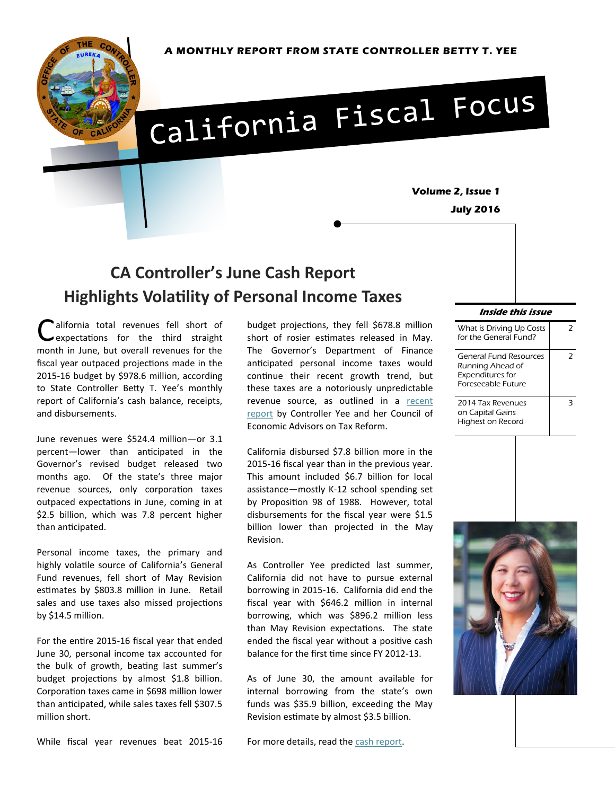

# California Fiscal Focus

**Volume 2, Issue 1 July 2016** 

# **CA Controller's June Cash Report Highlights Volatility of Personal Income Taxes**

California total revenues fell short of<br>expectations for the third straight<br>month in June, but overall revenues for the alifornia total revenues fell short of expectations for the third straight fiscal year outpaced projections made in the 2015-16 budget by \$978.6 million, according to State Controller Betty T. Yee's monthly report of California's cash balance, receipts, and disbursements.

June revenues were \$524.4 million—or 3.1 percent—lower than anticipated in the Governor's revised budget released two months ago. Of the state's three major revenue sources, only corporation taxes outpaced expectations in June, coming in at \$2.5 billion, which was 7.8 percent higher than anticipated.

Personal income taxes, the primary and highly volatile source of California's General Fund revenues, fell short of May Revision estimates by \$803.8 million in June. Retail sales and use taxes also missed projections by \$14.5 million.

For the entire 2015-16 fiscal year that ended June 30, personal income tax accounted for the bulk of growth, beating last summer's budget projections by almost \$1.8 billion. Corporation taxes came in \$698 million lower than anticipated, while sales taxes fell \$307.5 million short.

budget projections, they fell \$678.8 million short of rosier estimates released in May. The Governor's Department of Finance anticipated personal income taxes would continue their recent growth trend, but these taxes are a notoriously unpredictable revenue source, as outlined in a [recent](http://www.sco.ca.gov/eo_cea_contextual_framework.html)  [report](http://www.sco.ca.gov/eo_cea_contextual_framework.html) by Controller Yee and her Council of Economic Advisors on Tax Reform.

California disbursed \$7.8 billion more in the 2015-16 fiscal year than in the previous year. This amount included \$6.7 billion for local assistance—mostly K-12 school spending set by Proposition 98 of 1988. However, total disbursements for the fiscal year were \$1.5 billion lower than projected in the May Revision.

As Controller Yee predicted last summer, California did not have to pursue external borrowing in 2015-16. California did end the fiscal year with \$646.2 million in internal borrowing, which was \$896.2 million less than May Revision expectations. The state ended the fiscal year without a positive cash balance for the first time since FY 2012-13.

As of June 30, the amount available for internal borrowing from the state's own funds was \$35.9 billion, exceeding the May Revision estimate by almost \$3.5 billion.

#### **Inside this issue**

| <b>General Fund Resources</b><br>Running Ahead of<br><b>Expenditures for</b><br><b>Foreseeable Future</b><br>2014 Tax Revenues<br>on Capital Gains<br>Highest on Record | What is Driving Up Costs<br>for the General Fund? |   |
|-------------------------------------------------------------------------------------------------------------------------------------------------------------------------|---------------------------------------------------|---|
|                                                                                                                                                                         |                                                   | 2 |
|                                                                                                                                                                         |                                                   |   |





While fiscal year revenues beat 2015-16

For more details, read the [cash report.](http://www.sco.ca.gov/ard_state_cash_fy1516.html)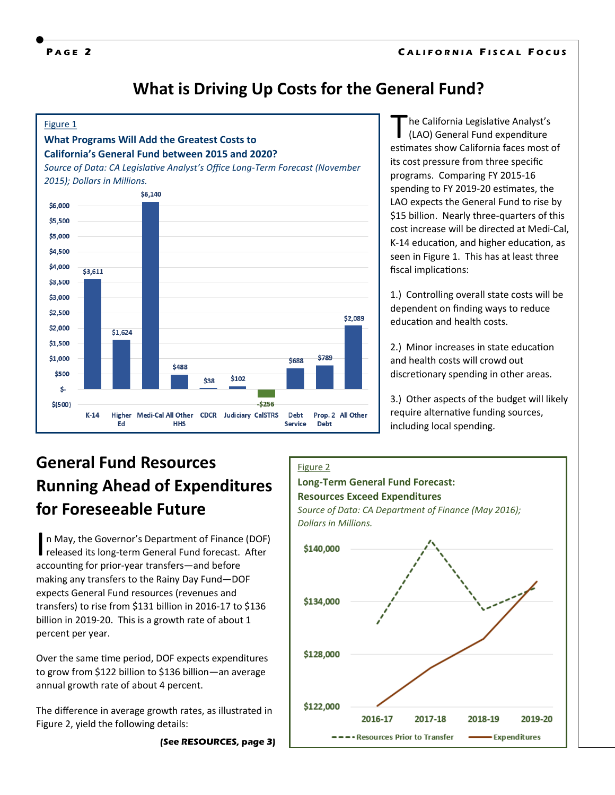**P A G E 2 C A L I F O R N I A F I S C A L F O C U S**

## **What is Driving Up Costs for the General Fund?**



The California Legislative Analyst's<br>
(LAO) General Fund expenditure<br>
estimates show California faces most of he California Legislative Analyst's (LAO) General Fund expenditure its cost pressure from three specific programs. Comparing FY 2015-16 spending to FY 2019-20 estimates, the LAO expects the General Fund to rise by \$15 billion. Nearly three-quarters of this cost increase will be directed at Medi-Cal, K-14 education, and higher education, as seen in Figure 1. This has at least three fiscal implications:

1.) Controlling overall state costs will be dependent on finding ways to reduce education and health costs.

2.) Minor increases in state education and health costs will crowd out discretionary spending in other areas.

3.) Other aspects of the budget will likely require alternative funding sources, including local spending.

# **General Fund Resources Running Ahead of Expenditures for Foreseeable Future**

In May, the Governor's Department of Finance (DOF)<br>released its long-term General Fund forecast. After n May, the Governor's Department of Finance (DOF) accounting for prior-year transfers—and before making any transfers to the Rainy Day Fund—DOF expects General Fund resources (revenues and transfers) to rise from \$131 billion in 2016-17 to \$136 billion in 2019-20. This is a growth rate of about 1 percent per year.

Over the same time period, DOF expects expenditures to grow from \$122 billion to \$136 billion—an average annual growth rate of about 4 percent.

The difference in average growth rates, as illustrated in Figure 2, yield the following details:

**(See RESOURCES, page 3)**

#### Figure 2

## **Long-Term General Fund Forecast:**

#### **Resources Exceed Expenditures**

*Source of Data: CA Department of Finance (May 2016); Dollars in Millions.*